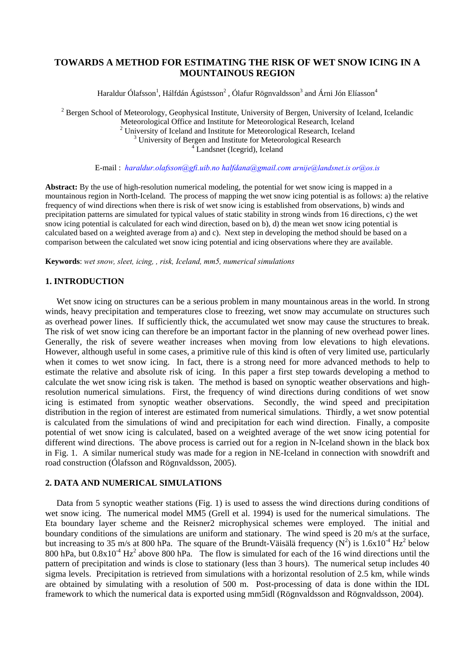# **TOWARDS A METHOD FOR ESTIMATING THE RISK OF WET SNOW ICING IN A MOUNTAINOUS REGION**

Haraldur Ólafsson $^1$ , Hálfdán Ágústsson $^2$  , Ólafur Rögnvaldsson $^3$  and Árni Jón Elíasson $^4$ 

<sup>2</sup> Bergen School of Meteorology, Geophysical Institute, University of Bergen, University of Iceland, Icelandic Meteorological Office and Institute for Meteorological Research, Iceland <br>
<sup>2</sup> University of Iceland and Institute for Meteorological Research, Iceland 3 University of Person and Institute for Meteorological Research <sup>3</sup> University of Bergen and Institute for Meteorological Research <sup>4</sup> Landsnet (Icegrid), Iceland

E-mail : *haraldur.olafsson@gfi.uib.no halfdana@gmail.com arnije@landsnet.is or@os.is*

**Abstract:** By the use of high-resolution numerical modeling, the potential for wet snow icing is mapped in a mountainous region in North-Iceland. The process of mapping the wet snow icing potential is as follows: a) the relative frequency of wind directions when there is risk of wet snow icing is established from observations, b) winds and precipitation patterns are simulated for typical values of static stability in strong winds from 16 directions, c) the wet snow icing potential is calculated for each wind direction, based on b), d) the mean wet snow icing potential is calculated based on a weighted average from a) and c). Next step in developing the method should be based on a comparison between the calculated wet snow icing potential and icing observations where they are available.

**Keywords**: *wet snow, sleet, icing, , risk, Iceland, mm5, numerical simulations* 

## **1. INTRODUCTION**

Wet snow icing on structures can be a serious problem in many mountainous areas in the world. In strong winds, heavy precipitation and temperatures close to freezing, wet snow may accumulate on structures such as overhead power lines. If sufficiently thick, the accumulated wet snow may cause the structures to break. The risk of wet snow icing can therefore be an important factor in the planning of new overhead power lines. Generally, the risk of severe weather increases when moving from low elevations to high elevations. However, although useful in some cases, a primitive rule of this kind is often of very limited use, particularly when it comes to wet snow icing. In fact, there is a strong need for more advanced methods to help to estimate the relative and absolute risk of icing. In this paper a first step towards developing a method to calculate the wet snow icing risk is taken. The method is based on synoptic weather observations and highresolution numerical simulations. First, the frequency of wind directions during conditions of wet snow icing is estimated from synoptic weather observations. Secondly, the wind speed and precipitation distribution in the region of interest are estimated from numerical simulations. Thirdly, a wet snow potential is calculated from the simulations of wind and precipitation for each wind direction. Finally, a composite potential of wet snow icing is calculated, based on a weighted average of the wet snow icing potential for different wind directions. The above process is carried out for a region in N-Iceland shown in the black box in Fig. 1. A similar numerical study was made for a region in NE-Iceland in connection with snowdrift and road construction (Ólafsson and Rögnvaldsson, 2005).

### **2. DATA AND NUMERICAL SIMULATIONS**

Data from 5 synoptic weather stations (Fig. 1) is used to assess the wind directions during conditions of wet snow icing. The numerical model MM5 (Grell et al. 1994) is used for the numerical simulations. The Eta boundary layer scheme and the Reisner2 microphysical schemes were employed. The initial and boundary conditions of the simulations are uniform and stationary. The wind speed is 20 m/s at the surface, but increasing to 35 m/s at 800 hPa. The square of the Brundt-Väisälä frequency ( $N^2$ ) is 1.6x10<sup>-4</sup> Hz<sup>2</sup> below 800 hPa, but  $0.8x10^{-4}$  Hz<sup>2</sup> above 800 hPa. The flow is simulated for each of the 16 wind directions until the pattern of precipitation and winds is close to stationary (less than 3 hours). The numerical setup includes 40 sigma levels. Precipitation is retrieved from simulations with a horizontal resolution of 2.5 km, while winds are obtained by simulating with a resolution of 500 m. Post-processing of data is done within the IDL framework to which the numerical data is exported using mm5idl (Rögnvaldsson and Rögnvaldsson, 2004).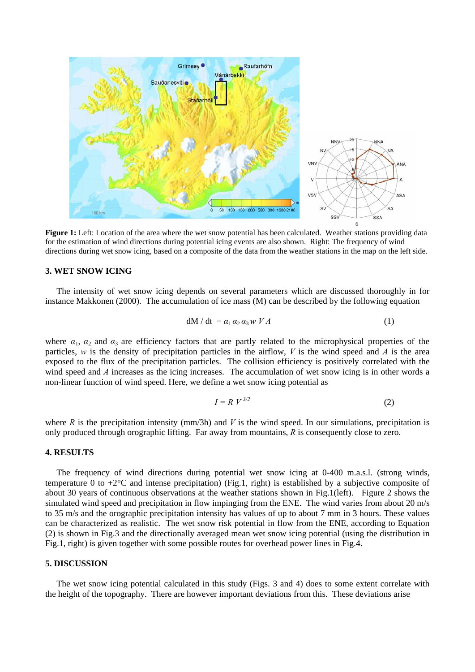

**Figure 1:** Left: Location of the area where the wet snow potential has been calculated. Weather stations providing data for the estimation of wind directions during potential icing events are also shown. Right: The frequency of wind directions during wet snow icing, based on a composite of the data from the weather stations in the map on the left side.

#### **3. WET SNOW ICING**

The intensity of wet snow icing depends on several parameters which are discussed thoroughly in for instance Makkonen (2000). The accumulation of ice mass (M) can be described by the following equation

$$
dM/dt = a_1 a_2 a_3 w V A \tag{1}
$$

where  $a_1$ ,  $a_2$  and  $a_3$  are efficiency factors that are partly related to the microphysical properties of the particles, *w* is the density of precipitation particles in the airflow, *V* is the wind speed and *A* is the area exposed to the flux of the precipitation particles. The collision efficiency is positively correlated with the wind speed and *A* increases as the icing increases. The accumulation of wet snow icing is in other words a non-linear function of wind speed. Here, we define a wet snow icing potential as

$$
I = R V^{3/2} \tag{2}
$$

where  $R$  is the precipitation intensity (mm/3h) and  $V$  is the wind speed. In our simulations, precipitation is only produced through orographic lifting. Far away from mountains, *R* is consequently close to zero.

#### **4. RESULTS**

The frequency of wind directions during potential wet snow icing at 0-400 m.a.s.l. (strong winds, temperature 0 to  $+2^{\circ}$ C and intense precipitation) (Fig.1, right) is established by a subjective composite of about 30 years of continuous observations at the weather stations shown in Fig.1(left). Figure 2 shows the simulated wind speed and precipitation in flow impinging from the ENE. The wind varies from about 20 m/s to 35 m/s and the orographic precipitation intensity has values of up to about 7 mm in 3 hours. These values can be characterized as realistic. The wet snow risk potential in flow from the ENE, according to Equation (2) is shown in Fig.3 and the directionally averaged mean wet snow icing potential (using the distribution in Fig.1, right) is given together with some possible routes for overhead power lines in Fig.4.

### **5. DISCUSSION**

The wet snow icing potential calculated in this study (Figs. 3 and 4) does to some extent correlate with the height of the topography. There are however important deviations from this. These deviations arise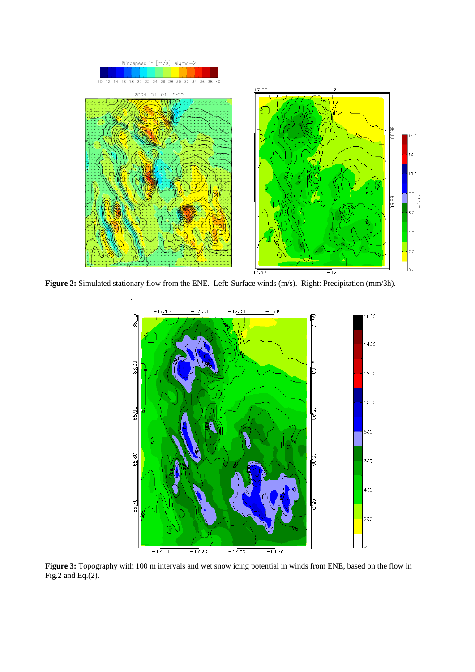



**Figure 3:** Topography with 100 m intervals and wet snow icing potential in winds from ENE, based on the flow in Fig.2 and Eq. $(2)$ .